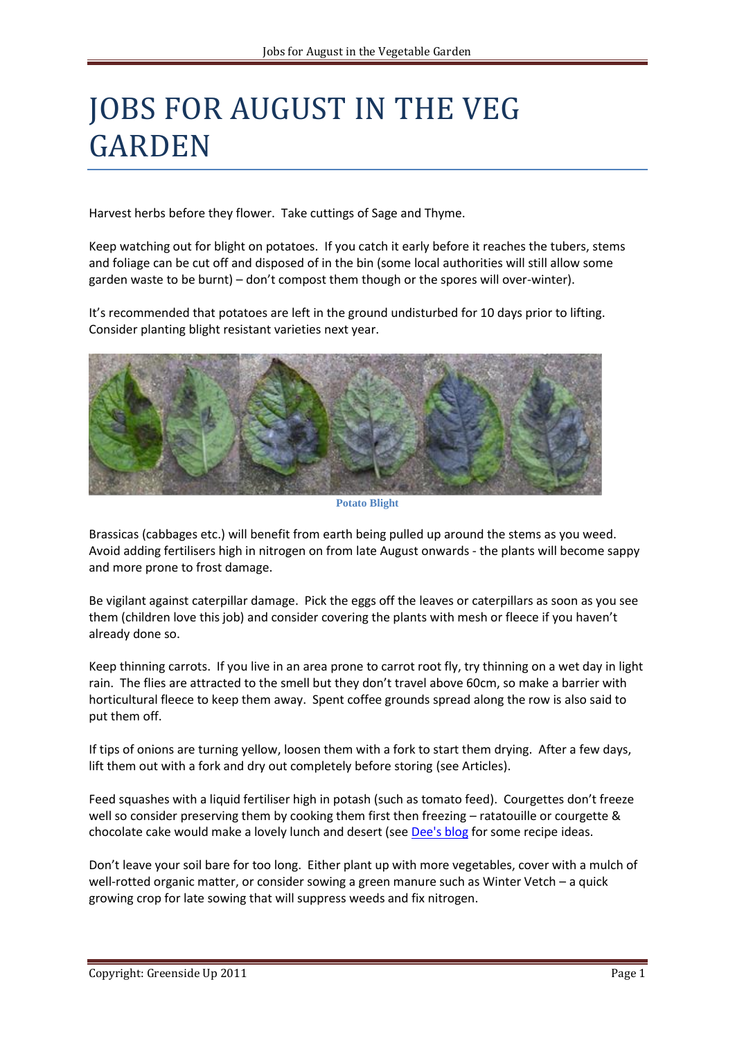## JOBS FOR AUGUST IN THE VEG GARDEN

Harvest herbs before they flower. Take cuttings of Sage and Thyme.

Keep watching out for blight on potatoes. If you catch it early before it reaches the tubers, stems and foliage can be cut off and disposed of in the bin (some local authorities will still allow some garden waste to be burnt) – don't compost them though or the spores will over-winter).

It's recommended that potatoes are left in the ground undisturbed for 10 days prior to lifting. Consider planting blight resistant varieties next year.



**Potato Blight**

Brassicas (cabbages etc.) will benefit from earth being pulled up around the stems as you weed. Avoid adding fertilisers high in nitrogen on from late August onwards - the plants will become sappy and more prone to frost damage.

Be vigilant against caterpillar damage. Pick the eggs off the leaves or caterpillars as soon as you see them (children love this job) and consider covering the plants with mesh or fleece if you haven't already done so.

Keep thinning carrots. If you live in an area prone to carrot root fly, try thinning on a wet day in light rain. The flies are attracted to the smell but they don't travel above 60cm, so make a barrier with horticultural fleece to keep them away. Spent coffee grounds spread along the row is also said to put them off.

If tips of onions are turning yellow, loosen them with a fork to start them drying. After a few days, lift them out with a fork and dry out completely before storing (see Articles).

Feed squashes with a liquid fertiliser high in potash (such as tomato feed). Courgettes don't freeze well so consider preserving them by cooking them first then freezing – ratatouille or courgette & chocolate cake would make a lovely lunch and desert (see [Dee's blog](http://greensideupveg.blogspot.com/p/recipes.html) for some recipe ideas.

Don't leave your soil bare for too long. Either plant up with more vegetables, cover with a mulch of well-rotted organic matter, or consider sowing a green manure such as Winter Vetch – a quick growing crop for late sowing that will suppress weeds and fix nitrogen.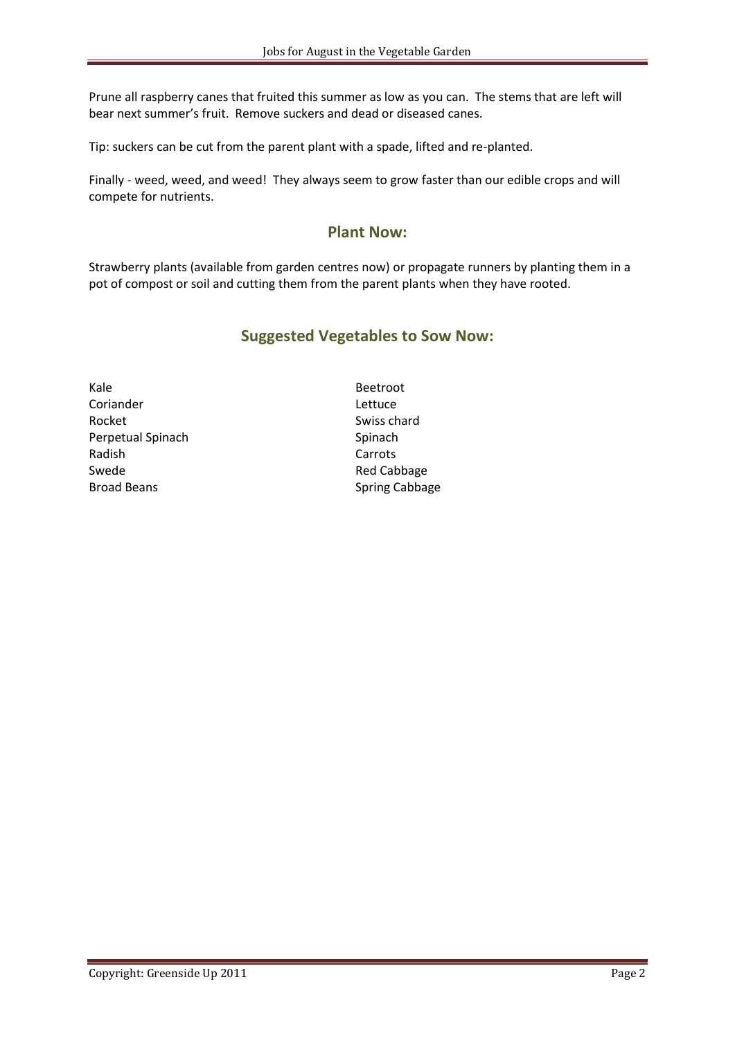Prune all raspberry canes that fruited this summer as low as you can. The stems that are left will bear next summer's fruit. Remove suckers and dead or diseased canes.

Tip: suckers can be cut from the parent plant with a spade, lifted and re-planted.

Finally - weed, weed, and weed! They always seem to grow faster than our edible crops and will compete for nutrients.

## **Plant Now:**

Strawberry plants (available from garden centres now) or propagate runners by planting them in a pot of compost or soil and cutting them from the parent plants when they have rooted.

## **Suggested Vegetables to Sow Now:**

Kale **Beetroot** Coriander **Lettuce** Rocket Swiss chard Perpetual Spinach Spinach Spinach Spinach Radish Carrots Swede Red Cabbage Broad Beans Spring Cabbage